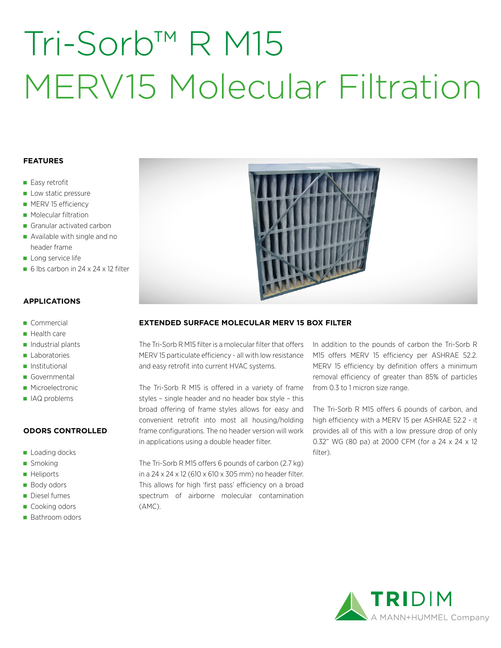# Tri-Sorb™ R M15 MERV15 Molecular Filtration

## **FEATURES**

- Easy retrofit
- Low static pressure
- **MERV 15 efficiency**
- **Molecular filtration**
- Granular activated carbon
- Available with single and no header frame
- Long service life
- 6 lbs carbon in 24  $\times$  24  $\times$  12 filter

## **APPLICATIONS**

- Commercial
- Health care
- $\blacksquare$  Industrial plants
- Laboratories
- **Institutional**
- Governmental
- **Microelectronic**
- IAQ problems

### **ODORS CONTROLLED**

- **Loading docks**
- **Smoking**
- **Heliports**
- **Body odors**
- Diesel fumes
- Cooking odors
- Bathroom odors



# **EXTENDED SURFACE MOLECULAR MERV 15 BOX FILTER**

The Tri-Sorb R M15 filter is a molecular filter that offers MERV 15 particulate efficiency - all with low resistance and easy retrofit into current HVAC systems.

The Tri-Sorb R M15 is offered in a variety of frame styles – single header and no header box style – this broad offering of frame styles allows for easy and convenient retrofit into most all housing/holding frame configurations. The no header version will work in applications using a double header filter.

The Tri-Sorb R M15 offers 6 pounds of carbon (2.7 kg) in a 24 x 24 x 12 (610 x 610 x 305 mm) no header filter. This allows for high 'first pass' efficiency on a broad spectrum of airborne molecular contamination (AMC).

In addition to the pounds of carbon the Tri-Sorb R M15 offers MERV 15 efficiency per ASHRAE 52.2. MERV 15 efficiency by definition offers a minimum removal efficiency of greater than 85% of particles from 0.3 to 1 micron size range.

The Tri-Sorb R M15 offers 6 pounds of carbon, and high efficiency with a MERV 15 per ASHRAE 52.2 - it provides all of this with a low pressure drop of only 0.32" WG (80 pa) at 2000 CFM (for a 24 x 24 x 12 filter).